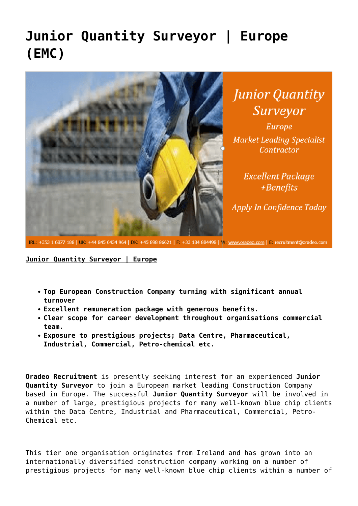## **[Junior Quantity Surveyor | Europe](https://oradeo.com/job/junior-quantity-surveyor-europe-emc-4/) [\(EMC\)](https://oradeo.com/job/junior-quantity-surveyor-europe-emc-4/)**



**Junior Quantity** Surveyor

Europe **Market Leading Specialist** Contractor

> **Excellent Package**  $+$ Benefits

Apply In Confidence Today

IRL: +353 1 6877 188 | UK: +44 845 6434 964 | DK: +45 898 86621 | F: +33 184 884498 | W: www.oradeo.com | E: recruitment@oradeo.com

**Junior Quantity Surveyor | Europe**

- **Top European Construction Company turning with significant annual turnover**
- **Excellent remuneration package with generous benefits.**
- **Clear scope for career development throughout organisations commercial team.**
- **Exposure to prestigious projects; Data Centre, Pharmaceutical, Industrial, Commercial, Petro-chemical etc.**

**Oradeo Recruitment** is presently seeking interest for an experienced **Junior Quantity Surveyor** to join a European market leading Construction Company based in Europe. The successful **Junior Quantity Surveyor** will be involved in a number of large, prestigious projects for many well-known blue chip clients within the Data Centre, Industrial and Pharmaceutical, Commercial, Petro-Chemical etc.

This tier one organisation originates from Ireland and has grown into an internationally diversified construction company working on a number of prestigious projects for many well-known blue chip clients within a number of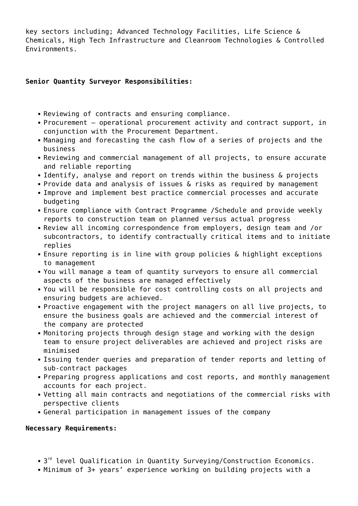key sectors including; Advanced Technology Facilities, Life Science & Chemicals, High Tech Infrastructure and Cleanroom Technologies & Controlled Environments.

## **Senior Quantity Surveyor Responsibilities:**

- Reviewing of contracts and ensuring compliance.
- Procurement operational procurement activity and contract support, in conjunction with the Procurement Department.
- Managing and forecasting the cash flow of a series of projects and the business
- Reviewing and commercial management of all projects, to ensure accurate and reliable reporting
- Identify, analyse and report on trends within the business & projects
- Provide data and analysis of issues & risks as required by management
- Improve and implement best practice commercial processes and accurate budgeting
- Ensure compliance with Contract Programme /Schedule and provide weekly reports to construction team on planned versus actual progress
- Review all incoming correspondence from employers, design team and /or subcontractors, to identify contractually critical items and to initiate replies
- Ensure reporting is in line with group policies & highlight exceptions to management
- You will manage a team of quantity surveyors to ensure all commercial aspects of the business are managed effectively
- You will be responsible for cost controlling costs on all projects and ensuring budgets are achieved.
- Proactive engagement with the project managers on all live projects, to ensure the business goals are achieved and the commercial interest of the company are protected
- Monitoring projects through design stage and working with the design team to ensure project deliverables are achieved and project risks are minimised
- Issuing tender queries and preparation of tender reports and letting of sub-contract packages
- Preparing progress applications and cost reports, and monthly management accounts for each project.
- Vetting all main contracts and negotiations of the commercial risks with perspective clients
- General participation in management issues of the company

## **Necessary Requirements:**

- $3<sup>rd</sup>$  level Qualification in Quantity Surveying/Construction Economics.
- Minimum of 3+ years' experience working on building projects with a